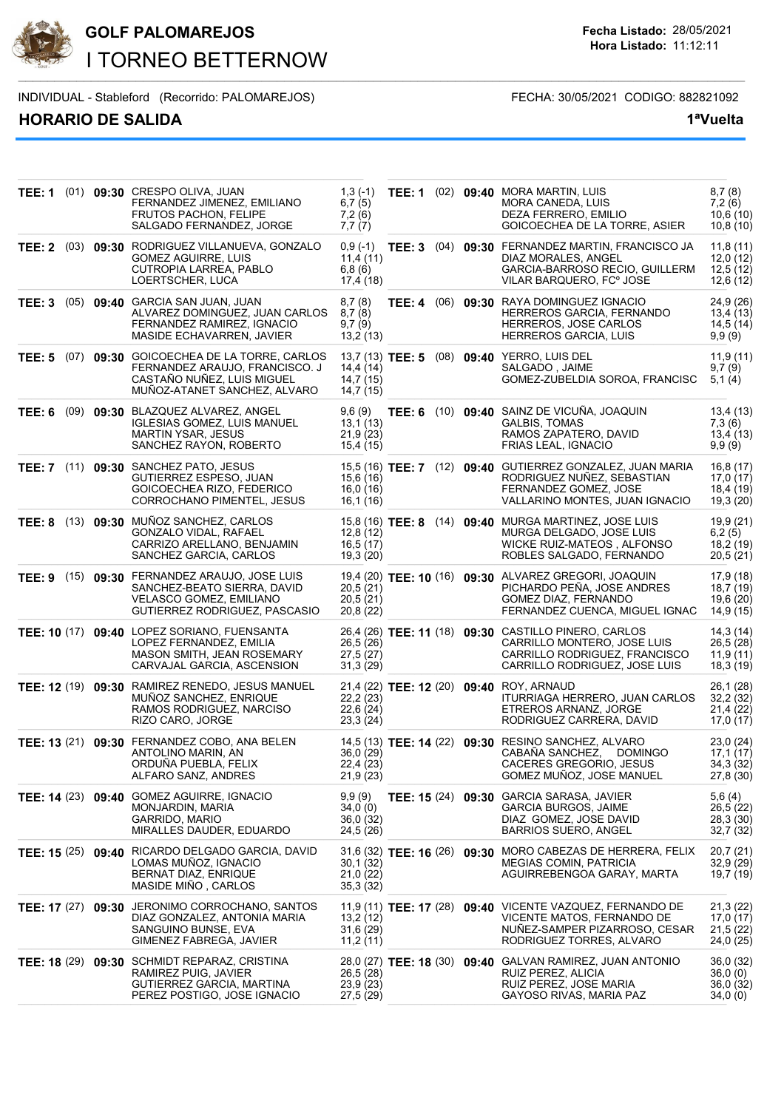

# **GOLF PALOMAREJOS Fecha Listado:** 28/05/2021 I TORNEO BETTERNOW

INDIVIDUAL - Stableford (Recorrido: PALOMAREJOS) FECHA: 30/05/2021 CODIGO: 882821092

# **HORARIO DE SALIDA 1ªVuelta**

**Hora Listado:** 11:12:11

| TEE: 1 |  | (01) 09:30 CRESPO OLIVA, JUAN<br>FERNANDEZ JIMENEZ, EMILIANO<br><b>FRUTOS PACHON, FELIPE</b><br>SALGADO FERNANDEZ, JORGE                         | $1,3(-1)$<br>6,7(5)<br>7,2(6)<br>7,7(7)      |  | TEE: 1 (02) 09:40 MORA MARTIN, LUIS<br>MORA CANEDA, LUIS<br>DEZA FERRERO, EMILIO<br>GOICOECHEA DE LA TORRE, ASIER                                     | 8,7(8)<br>7,2(6)<br>10,6(10)<br>10,8(10)         |
|--------|--|--------------------------------------------------------------------------------------------------------------------------------------------------|----------------------------------------------|--|-------------------------------------------------------------------------------------------------------------------------------------------------------|--------------------------------------------------|
|        |  | TEE: 2 (03) 09:30 RODRIGUEZ VILLANUEVA, GONZALO<br><b>GOMEZ AGUIRRE, LUIS</b><br>CUTROPIA LARREA, PABLO<br>LOERTSCHER, LUCA                      | 11,4(11)<br>6,8(6)<br>17,4 (18)              |  | 0,9 (-1) TEE: 3 (04) 09:30 FERNANDEZ MARTIN, FRANCISCO JA<br>DIAZ MORALES, ANGEL<br>GARCIA-BARROSO RECIO, GUILLERM<br>VILAR BARQUERO, FC° JOSE        | 11,8(11)<br>12,0(12)<br>12,5(12)<br>12,6(12)     |
| TEE: 3 |  | (05) 09:40 GARCIA SAN JUAN, JUAN<br>ALVAREZ DOMINGUEZ, JUAN CARLOS<br>FERNANDEZ RAMIREZ. IGNACIO<br>MASIDE ECHAVARREN, JAVIER                    | 8,7(8)<br>8,7(8)<br>9,7(9)<br>13,2(13)       |  | TEE: 4 (06) 09:30 RAYA DOMINGUEZ IGNACIO<br>HERREROS GARCIA, FERNANDO<br>HERREROS, JOSE CARLOS<br>HERREROS GARCIA, LUIS                               | 24,9 (26)<br>13,4 (13)<br>14,5 (14)<br>9,9(9)    |
|        |  | TEE: 5 (07) 09:30 GOICOECHEA DE LA TORRE, CARLOS<br>FERNANDEZ ARAUJO, FRANCISCO. J<br>CASTAÑO NUÑEZ, LUIS MIGUEL<br>MUÑOZ-ATANET SANCHEZ, ALVARO | 14.4(14)<br>14,7(15)<br>14,7 (15)            |  | 13,7 (13) TEE: 5 (08) 09:40 YERRO, LUIS DEL<br>SALGADO, JAIME<br>GOMEZ-ZUBELDIA SOROA, FRANCISC                                                       | 11,9(11)<br>9,7(9)<br>5,1(4)                     |
|        |  | TEE: 6 (09) 09:30 BLAZQUEZ ALVAREZ, ANGEL<br><b>IGLESIAS GOMEZ, LUIS MANUEL</b><br><b>MARTIN YSAR, JESUS</b><br>SANCHEZ RAYON, ROBERTO           | 9,6 (9)<br>13,1(13)<br>21,9(23)<br>15,4 (15) |  | TEE: 6 (10) 09:40 SAINZ DE VICUÑA, JOAQUIN<br><b>GALBIS, TOMAS</b><br>RAMOS ZAPATERO, DAVID<br>FRIAS LEAL, IGNACIO                                    | 13,4 (13)<br>7,3 (6)<br>13,4(13)<br>9,9(9)       |
|        |  | TEE: 7 (11) 09:30 SANCHEZ PATO, JESUS<br>GUTIERREZ ESPESO, JUAN<br>GOICOECHEA RIZO, FEDERICO<br>CORROCHANO PIMENTEL, JESUS                       | 15,6 (16)<br>16,0 (16)<br>16,1 (16)          |  | 15,5 (16) TEE: 7 (12) 09:40 GUTIERREZ GONZALEZ, JUAN MARIA<br>RODRIGUEZ NUÑEZ, SEBASTIAN<br>FERNANDEZ GOMEZ, JOSE<br>VALLARINO MONTES, JUAN IGNACIO   | 16,8(17)<br>17,0(17)<br>18,4 (19)<br>19,3(20)    |
|        |  | TEE: 8 (13) 09:30 MUÑOZ SANCHEZ, CARLOS<br><b>GONZALO VIDAL, RAFAEL</b><br>CARRIZO ARELLANO, BENJAMIN<br>SANCHEZ GARCIA, CARLOS                  | 12,8(12)<br>16,5(17)<br>19,3 (20)            |  | 15,8 (16) TEE: 8 (14) 09:40 MURGA MARTINEZ, JOSE LUIS<br>MURGA DELGADO, JOSE LUIS<br>WICKE RUIZ-MATEOS, ALFONSO<br>ROBLES SALGADO, FERNANDO           | 19,9 (21)<br>6,2(5)<br>18,2 (19)<br>20,5(21)     |
|        |  | TEE: 9 (15) 09:30 FERNANDEZ ARAUJO, JOSE LUIS<br>SANCHEZ-BEATO SIERRA, DAVID<br>VELASCO GOMEZ, EMILIANO<br>GUTIERREZ RODRIGUEZ, PASCASIO         | 20,5 (21)<br>20,5(21)<br>20,8 (22)           |  | 19,4 (20) TEE: 10 (16) 09:30 ALVAREZ GREGORI, JOAQUIN<br>PICHARDO PEÑA, JOSE ANDRES<br>GOMEZ DIAZ, FERNANDO<br>FERNANDEZ CUENCA, MIGUEL IGNAC         | 17,9 (18)<br>18,7 (19)<br>19,6 (20)<br>14,9 (15) |
|        |  | TEE: 10 (17) 09:40 LOPEZ SORIANO, FUENSANTA<br>LOPEZ FERNANDEZ, EMILIA<br>MASON SMITH, JEAN ROSEMARY<br>CARVAJAL GARCIA, ASCENSION               | 26,5(26)<br>27,5 (27)<br>31,3(29)            |  | 26,4 (26) TEE: 11 (18) 09:30 CASTILLO PINERO, CARLOS<br>CARRILLO MONTERO, JOSE LUIS<br>CARRILLO RODRIGUEZ, FRANCISCO<br>CARRILLO RODRIGUEZ, JOSE LUIS | 14,3(14)<br>26,5 (28)<br>11,9(11)<br>18,3 (19)   |
|        |  | TEE: 12 (19) 09:30 RAMIREZ RENEDO, JESUS MANUEL<br>MUNOZ SANCHEZ, ENRIQUE<br>RAMOS RODRIGUEZ, NARCISO<br>RIZO CARO, JORGE                        | 22,2(23)<br>22,6 (24)<br>23,3(24)            |  | 21,4 (22) TEE: 12 (20) 09:40 ROY, ARNAUD<br>ITURRIAGA HERRERO, JUAN CARLOS<br>ETREROS ARNANZ, JORGE<br>RODRIGUEZ CARRERA, DAVID                       | 26,1(28)<br>32,2 (32)<br>21,4(22)<br>17,0(17)    |
|        |  | TEE: 13 (21) 09:30 FERNANDEZ COBO, ANA BELEN<br>ANTOLINO MARIN, AN<br>ORDUÑA PUEBLA, FELIX<br>ALFARO SANZ, ANDRES                                | 36,0 (29)<br>22,4 (23)<br>21,9 (23)          |  | 14,5 (13) TEE: 14 (22) 09:30 RESINO SANCHEZ, ALVARO<br>CABANA SANCHEZ,<br><b>DOMINGO</b><br>CACERES GREGORIO, JESUS<br>GOMEZ MUNOZ, JOSE MANUEL       | 23,0(24)<br>17,1(17)<br>34,3 (32)<br>27,8 (30)   |
|        |  | TEE: 14 (23) 09:40 GOMEZ AGUIRRE, IGNACIO<br>MONJARDIN, MARIA<br>GARRIDO, MARIO<br>MIRALLES DAUDER, EDUARDO                                      | 9,9(9)<br>34,0 (0)<br>36,0 (32)<br>24,5 (26) |  | TEE: 15 (24) 09:30 GARCIA SARASA, JAVIER<br>GARCIA BURGOS, JAIME<br>DIAZ GOMEZ, JOSE DAVID<br><b>BARRIOS SUERO, ANGEL</b>                             | 5,6(4)<br>26,5(22)<br>28,3 (30)<br>32,7 (32)     |
|        |  | TEE: 15 (25) 09:40 RICARDO DELGADO GARCIA, DAVID<br>LOMAS MUÑOZ, IGNACIO<br>BERNAT DIAZ, ENRIQUE<br>MASIDE MIÑO, CARLOS                          | 30,1 (32)<br>21,0(22)<br>35,3 (32)           |  | 31,6 (32) TEE: 16 (26) 09:30 MORO CABEZAS DE HERRERA, FELIX<br><b>MEGIAS COMIN, PATRICIA</b><br>AGUIRREBENGOA GARAY, MARTA                            | 20,7(21)<br>32,9(29)<br>19,7(19)                 |
|        |  | TEE: 17 (27) 09:30 JERONIMO CORROCHANO, SANTOS<br>DIAZ GONZALEZ, ANTONIA MARIA<br>SANGUINO BUNSE, EVA<br>GIMENEZ FABREGA, JAVIER                 | 13,2 (12)<br>31,6(29)<br>11,2(11)            |  | 11,9 (11) TEE: 17 (28) 09:40 VICENTE VAZQUEZ, FERNANDO DE<br>VICENTE MATOS, FERNANDO DE<br>NUNEZ-SAMPER PIZARROSO, CESAR<br>RODRIGUEZ TORRES, ALVARO  | 21,3(22)<br>17,0 (17)<br>21,5(22)<br>24,0 (25)   |
|        |  | TEE: 18 (29) 09:30 SCHMIDT REPARAZ, CRISTINA<br>RAMIREZ PUIG, JAVIER<br>GUTIERREZ GARCIA, MARTINA<br>PEREZ POSTIGO, JOSE IGNACIO                 | 26,5 (28)<br>23,9 (23)<br>27,5 (29)          |  | 28,0 (27) TEE: 18 (30) 09:40 GALVAN RAMIREZ, JUAN ANTONIO<br>RUIZ PEREZ, ALICIA<br>RUIZ PEREZ, JOSE MARIA<br>GAYOSO RIVAS, MARIA PAZ                  | 36,0 (32)<br>36,0(0)<br>36,0 (32)<br>34,0 (0)    |

\_\_\_\_\_\_\_\_\_\_\_\_\_\_\_\_\_\_\_\_\_\_\_\_\_\_\_\_\_\_\_\_\_\_\_\_\_\_\_\_\_\_\_\_\_\_\_\_\_\_\_\_ \_\_\_\_\_\_\_\_\_\_\_\_\_\_\_\_\_\_\_\_\_\_\_\_\_\_\_\_\_\_\_\_\_\_\_\_\_\_\_\_\_\_\_\_\_\_\_\_\_\_\_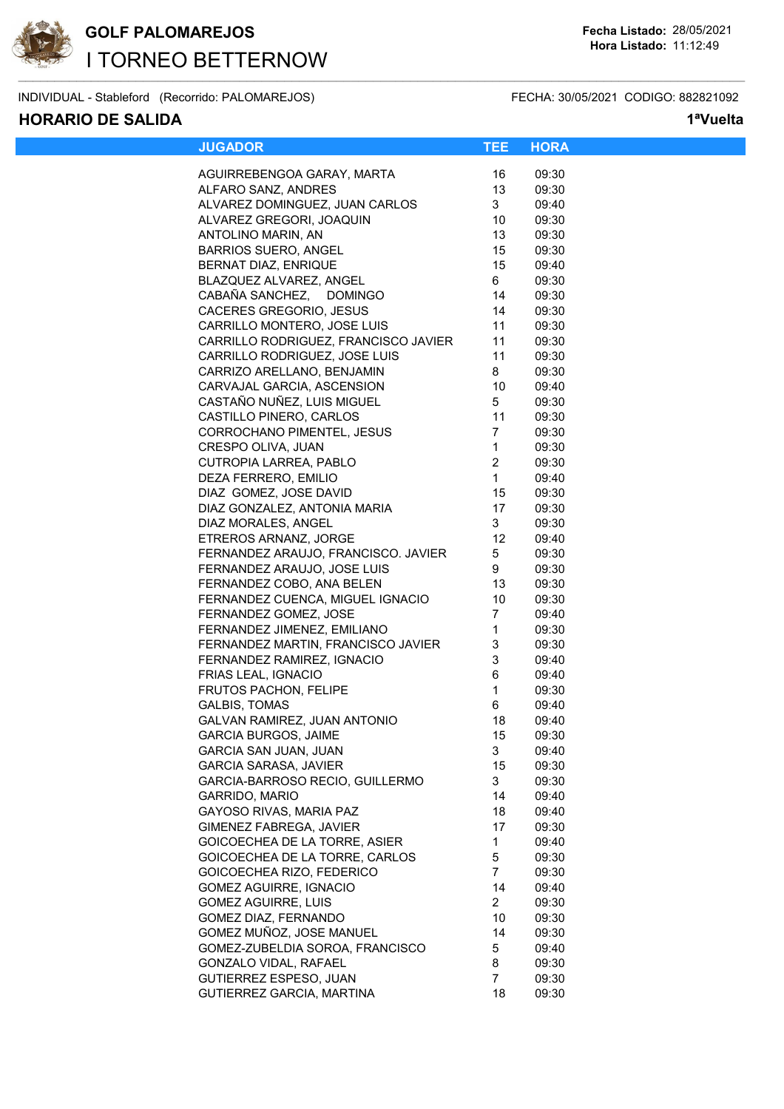

INDIVIDUAL - Stableford (Recorrido: PALOMAREJOS) FECHA: 30/05/2021 CODIGO: 882821092

### **HORARIO DE SALIDA 1ªVuelta**

| <b>JUGADOR</b>                                     | TEE                  | <b>HORA</b>    |  |
|----------------------------------------------------|----------------------|----------------|--|
|                                                    |                      |                |  |
| AGUIRREBENGOA GARAY, MARTA                         | 16                   | 09:30<br>09:30 |  |
| ALFARO SANZ, ANDRES                                | 13                   |                |  |
| ALVAREZ DOMINGUEZ, JUAN CARLOS                     | 3                    | 09:40          |  |
| ALVAREZ GREGORI, JOAQUIN                           | 10                   | 09:30          |  |
| ANTOLINO MARIN, AN                                 | 13                   | 09:30          |  |
| <b>BARRIOS SUERO, ANGEL</b>                        | 15                   | 09:30          |  |
| BERNAT DIAZ, ENRIQUE                               | 15                   | 09:40          |  |
| BLAZQUEZ ALVAREZ, ANGEL                            | 6                    | 09:30          |  |
| CABAÑA SANCHEZ, DOMINGO                            | 14                   | 09:30          |  |
| CACERES GREGORIO, JESUS                            | 14                   | 09:30          |  |
| CARRILLO MONTERO, JOSE LUIS                        | 11                   | 09:30          |  |
| CARRILLO RODRIGUEZ, FRANCISCO JAVIER               | 11                   | 09:30          |  |
| CARRILLO RODRIGUEZ, JOSE LUIS                      | 11                   | 09:30          |  |
| CARRIZO ARELLANO, BENJAMIN                         | 8                    | 09:30          |  |
| CARVAJAL GARCIA, ASCENSION                         | 10                   | 09:40          |  |
| CASTAÑO NUÑEZ, LUIS MIGUEL                         | 5                    | 09:30          |  |
| CASTILLO PINERO, CARLOS                            | 11                   | 09:30          |  |
| CORROCHANO PIMENTEL, JESUS                         | $\overline{7}$       | 09:30          |  |
| CRESPO OLIVA, JUAN                                 | $\mathbf{1}$         | 09:30          |  |
| CUTROPIA LARREA, PABLO                             | $\overline{2}$       | 09:30          |  |
| DEZA FERRERO, EMILIO                               | $\mathbf{1}$         | 09:40          |  |
| DIAZ GOMEZ, JOSE DAVID                             | 15                   | 09:30          |  |
| DIAZ GONZALEZ, ANTONIA MARIA                       | 17                   | 09:30          |  |
| DIAZ MORALES, ANGEL                                | 3                    | 09:30          |  |
| ETREROS ARNANZ, JORGE                              | 12                   | 09:40          |  |
| FERNANDEZ ARAUJO, FRANCISCO. JAVIER                | 5                    | 09:30          |  |
| FERNANDEZ ARAUJO, JOSE LUIS                        | 9                    | 09:30          |  |
| FERNANDEZ COBO, ANA BELEN                          | 13                   | 09:30          |  |
| FERNANDEZ CUENCA, MIGUEL IGNACIO                   | 10                   | 09:30          |  |
| FERNANDEZ GOMEZ, JOSE                              | 7                    | 09:40          |  |
| FERNANDEZ JIMENEZ, EMILIANO                        | $\mathbf{1}$         | 09:30          |  |
| FERNANDEZ MARTIN, FRANCISCO JAVIER                 | 3                    | 09:30          |  |
| FERNANDEZ RAMIREZ, IGNACIO                         | 3                    | 09:40          |  |
| FRIAS LEAL, IGNACIO                                | 6                    | 09:40          |  |
| <b>FRUTOS PACHON, FELIPE</b>                       | $\mathbf{1}$         | 09:30          |  |
| <b>GALBIS, TOMAS</b>                               | 6                    | 09:40          |  |
| GALVAN RAMIREZ, JUAN ANTONIO                       | 18                   | 09:40          |  |
| <b>GARCIA BURGOS, JAIME</b>                        | 15                   | 09:30          |  |
| <b>GARCIA SAN JUAN, JUAN</b>                       | 3                    | 09:40          |  |
| GARCIA SARASA, JAVIER                              | 15                   | 09:30          |  |
| GARCIA-BARROSO RECIO, GUILLERMO                    | 3                    | 09:30          |  |
| GARRIDO, MARIO                                     | 14                   | 09:40          |  |
| GAYOSO RIVAS, MARIA PAZ                            | 18                   | 09:40          |  |
| GIMENEZ FABREGA, JAVIER                            | 17                   | 09:30          |  |
| GOICOECHEA DE LA TORRE, ASIER                      | 1                    | 09:40          |  |
| GOICOECHEA DE LA TORRE, CARLOS                     | 5                    | 09:30          |  |
| GOICOECHEA RIZO, FEDERICO                          | $\overline{7}$       | 09:30          |  |
| <b>GOMEZ AGUIRRE, IGNACIO</b>                      | 14                   | 09:40          |  |
|                                                    |                      |                |  |
| <b>GOMEZ AGUIRRE, LUIS</b><br>GOMEZ DIAZ, FERNANDO | $\overline{a}$<br>10 | 09:30<br>09:30 |  |
|                                                    |                      |                |  |
| GOMEZ MUÑOZ, JOSE MANUEL                           | 14                   | 09:30          |  |
| GOMEZ-ZUBELDIA SOROA, FRANCISCO                    | 5                    | 09:40          |  |
| GONZALO VIDAL, RAFAEL                              | 8                    | 09:30          |  |
| GUTIERREZ ESPESO, JUAN                             | 7                    | 09:30          |  |
| GUTIERREZ GARCIA, MARTINA                          | 18                   | 09:30          |  |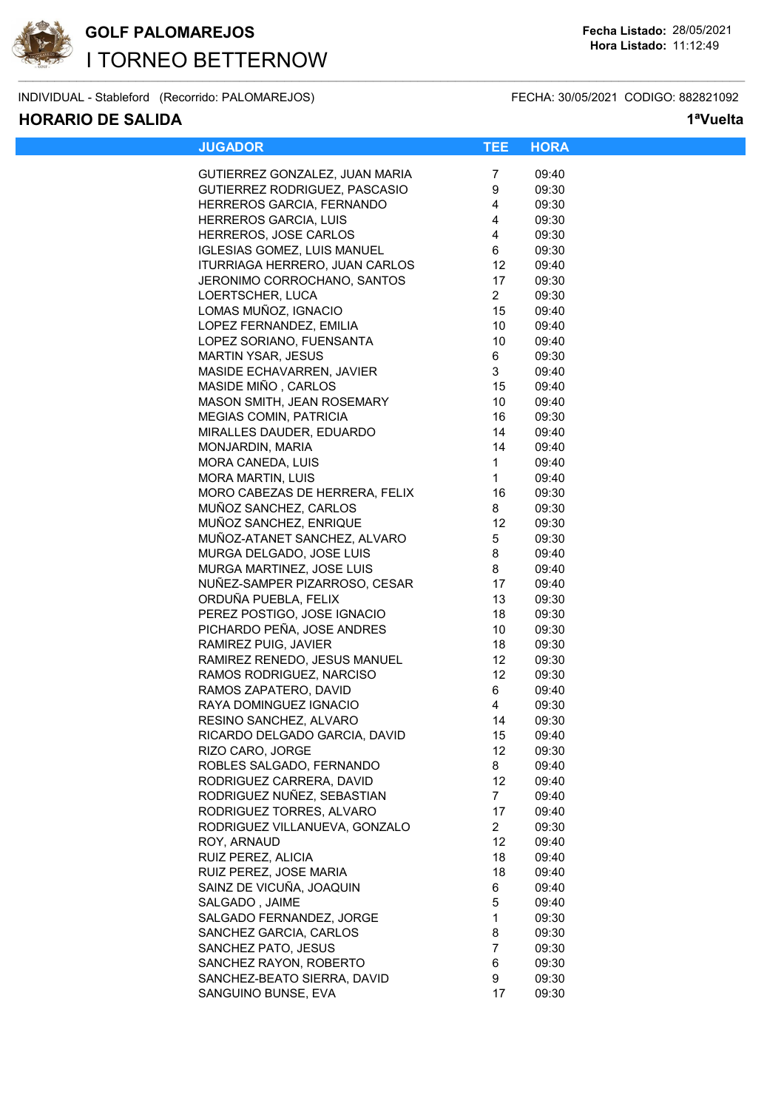

INDIVIDUAL - Stableford (Recorrido: PALOMAREJOS) FECHA: 30/05/2021 CODIGO: 882821092

### **HORARIO DE SALIDA 1ªVuelta**

| <b>JUGADOR</b>                                  | TEE.            | <b>HORA</b>    |  |
|-------------------------------------------------|-----------------|----------------|--|
|                                                 |                 |                |  |
| GUTIERREZ GONZALEZ, JUAN MARIA                  | 7               | 09:40          |  |
| GUTIERREZ RODRIGUEZ, PASCASIO                   | 9               | 09:30          |  |
| HERREROS GARCIA, FERNANDO                       | $\overline{4}$  | 09:30          |  |
| HERREROS GARCIA, LUIS                           | $\overline{4}$  | 09:30          |  |
| HERREROS, JOSE CARLOS                           | $\overline{4}$  | 09:30          |  |
| IGLESIAS GOMEZ, LUIS MANUEL                     | 6               | 09:30          |  |
| ITURRIAGA HERRERO, JUAN CARLOS                  | 12              | 09:40          |  |
| JERONIMO CORROCHANO, SANTOS                     | 17              | 09:30          |  |
| LOERTSCHER, LUCA                                | 2 <sup>7</sup>  | 09:30          |  |
| LOMAS MUÑOZ, IGNACIO                            | 15              | 09:40          |  |
| LOPEZ FERNANDEZ, EMILIA                         | 10              | 09:40          |  |
| LOPEZ SORIANO, FUENSANTA                        | 10 <sup>°</sup> | 09:40          |  |
| MARTIN YSAR, JESUS                              | 6               | 09:30          |  |
| MASIDE ECHAVARREN, JAVIER                       | 3               | 09:40          |  |
| MASIDE MIÑO, CARLOS                             | 15              | 09:40          |  |
| MASON SMITH, JEAN ROSEMARY                      | 10 <sup>°</sup> | 09:40          |  |
| <b>MEGIAS COMIN, PATRICIA</b>                   | 16              | 09:30          |  |
| MIRALLES DAUDER, EDUARDO                        | 14              | 09:40          |  |
| MONJARDIN, MARIA                                | 14              | 09:40          |  |
| MORA CANEDA, LUIS                               | $\mathbf{1}$    | 09:40          |  |
| MORA MARTIN, LUIS                               | $\mathbf{1}$    | 09:40          |  |
| MORO CABEZAS DE HERRERA, FELIX                  | 16              | 09:30          |  |
| MUÑOZ SANCHEZ, CARLOS                           | 8               | 09:30          |  |
| MUÑOZ SANCHEZ, ENRIQUE                          | 12              | 09:30          |  |
| MUÑOZ-ATANET SANCHEZ, ALVARO                    | 5               | 09:30          |  |
| MURGA DELGADO, JOSE LUIS                        | 8               | 09:40          |  |
| MURGA MARTINEZ, JOSE LUIS                       | 8               | 09:40          |  |
| NUÑEZ-SAMPER PIZARROSO, CESAR                   | 17              | 09:40          |  |
| ORDUÑA PUEBLA, FELIX                            | 13              | 09:30          |  |
| PEREZ POSTIGO, JOSE IGNACIO                     | 18              | 09:30          |  |
| PICHARDO PEÑA, JOSE ANDRES                      | 10              | 09:30          |  |
| RAMIREZ PUIG, JAVIER                            | 18              | 09:30          |  |
| RAMIREZ RENEDO, JESUS MANUEL                    | 12              | 09:30          |  |
| RAMOS RODRIGUEZ, NARCISO                        | 12<br>6         | 09:30          |  |
| RAMOS ZAPATERO, DAVID<br>RAYA DOMINGUEZ IGNACIO | 4               | 09:40          |  |
| RESINO SANCHEZ, ALVARO                          | 14              | 09:30<br>09:30 |  |
| RICARDO DELGADO GARCIA, DAVID                   | 15              | 09:40          |  |
| RIZO CARO, JORGE                                | 12              | 09:30          |  |
| ROBLES SALGADO, FERNANDO                        | 8               | 09:40          |  |
| RODRIGUEZ CARRERA, DAVID                        | 12              | 09:40          |  |
| RODRIGUEZ NUÑEZ, SEBASTIAN                      | 7               | 09:40          |  |
| RODRIGUEZ TORRES, ALVARO                        | 17              | 09:40          |  |
| RODRIGUEZ VILLANUEVA, GONZALO                   | 2 <sup>1</sup>  | 09:30          |  |
| ROY, ARNAUD                                     | 12              | 09:40          |  |
| RUIZ PEREZ, ALICIA                              | 18              | 09:40          |  |
| RUIZ PEREZ, JOSE MARIA                          | 18              | 09:40          |  |
| SAINZ DE VICUÑA, JOAQUIN                        | 6               | 09:40          |  |
| SALGADO, JAIME                                  | 5               | 09:40          |  |
| SALGADO FERNANDEZ, JORGE                        | $\mathbf{1}$    | 09:30          |  |
| SANCHEZ GARCIA, CARLOS                          | 8               | 09:30          |  |
| SANCHEZ PATO, JESUS                             | 7               | 09:30          |  |
| SANCHEZ RAYON, ROBERTO                          | 6               | 09:30          |  |
| SANCHEZ-BEATO SIERRA, DAVID                     | 9               | 09:30          |  |
| SANGUINO BUNSE, EVA                             | 17              | 09:30          |  |
|                                                 |                 |                |  |